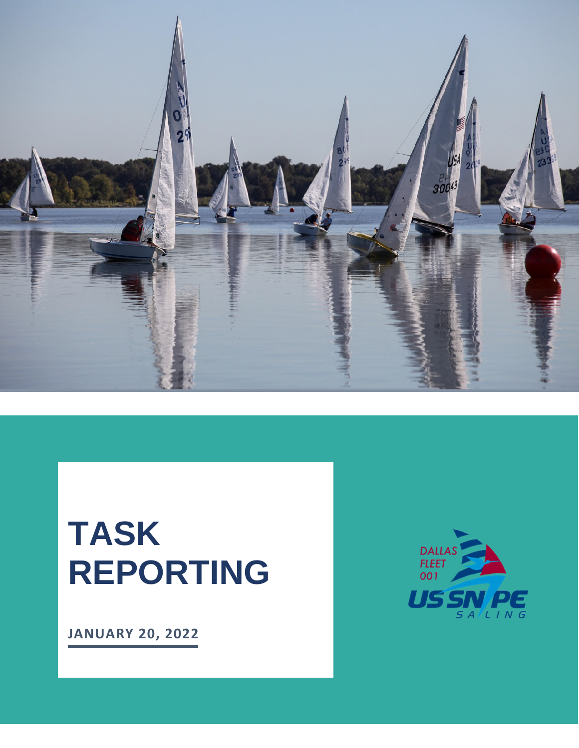<span id="page-0-0"></span>

# **TASK REPORTING**

**JANUARY 20, 2022**

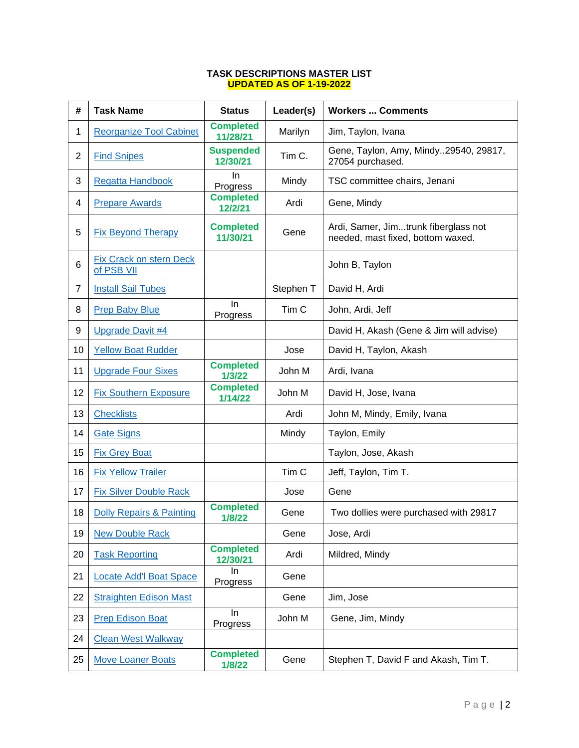#### **TASK DESCRIPTIONS MASTER LIST UPDATED AS OF 1-19-2022**

| #              | <b>Task Name</b>                             | <b>Status</b>                | Leader(s)        | <b>Workers  Comments</b>                                                  |
|----------------|----------------------------------------------|------------------------------|------------------|---------------------------------------------------------------------------|
| 1              | <b>Reorganize Tool Cabinet</b>               | <b>Completed</b><br>11/28/21 | Marilyn          | Jim, Taylon, Ivana                                                        |
| 2              | <b>Find Snipes</b>                           | <b>Suspended</b><br>12/30/21 | Tim C.           | Gene, Taylon, Amy, Mindy29540, 29817,<br>27054 purchased.                 |
| 3              | <b>Regatta Handbook</b>                      | In.<br>Progress              | Mindy            | TSC committee chairs, Jenani                                              |
| 4              | <b>Prepare Awards</b>                        | <b>Completed</b><br>12/2/21  | Ardi             | Gene, Mindy                                                               |
| 5              | <b>Fix Beyond Therapy</b>                    | <b>Completed</b><br>11/30/21 | Gene             | Ardi, Samer, Jimtrunk fiberglass not<br>needed, mast fixed, bottom waxed. |
| 6              | <b>Fix Crack on stern Deck</b><br>of PSB VII |                              |                  | John B, Taylon                                                            |
| $\overline{7}$ | <b>Install Sail Tubes</b>                    |                              | Stephen T        | David H, Ardi                                                             |
| 8              | <b>Prep Baby Blue</b>                        | In<br>Progress               | Tim <sub>C</sub> | John, Ardi, Jeff                                                          |
| 9              | <b>Upgrade Davit #4</b>                      |                              |                  | David H, Akash (Gene & Jim will advise)                                   |
| 10             | <b>Yellow Boat Rudder</b>                    |                              | Jose             | David H, Taylon, Akash                                                    |
| 11             | <b>Upgrade Four Sixes</b>                    | <b>Completed</b><br>1/3/22   | John M           | Ardi, Ivana                                                               |
| 12             | <b>Fix Southern Exposure</b>                 | <b>Completed</b><br>1/14/22  | John M           | David H, Jose, Ivana                                                      |
| 13             | <b>Checklists</b>                            |                              | Ardi             | John M, Mindy, Emily, Ivana                                               |
| 14             | <b>Gate Signs</b>                            |                              | Mindy            | Taylon, Emily                                                             |
| 15             | <b>Fix Grey Boat</b>                         |                              |                  | Taylon, Jose, Akash                                                       |
| 16             | <b>Fix Yellow Trailer</b>                    |                              | Tim <sub>C</sub> | Jeff, Taylon, Tim T.                                                      |
| 17             | <b>Fix Silver Double Rack</b>                |                              | Jose             | Gene                                                                      |
| 18             | <b>Dolly Repairs &amp; Painting</b>          | <b>Completed</b><br>1/8/22   | Gene             | Two dollies were purchased with 29817                                     |
| 19             | <b>New Double Rack</b>                       |                              | Gene             | Jose, Ardi                                                                |
| 20             | <b>Task Reporting</b>                        | <b>Completed</b><br>12/30/21 | Ardi             | Mildred, Mindy                                                            |
| 21             | <b>Locate Add'l Boat Space</b>               | In<br>Progress               | Gene             |                                                                           |
| 22             | <b>Straighten Edison Mast</b>                |                              | Gene             | Jim, Jose                                                                 |
| 23             | <b>Prep Edison Boat</b>                      | In<br>Progress               | John M           | Gene, Jim, Mindy                                                          |
| 24             | <b>Clean West Walkway</b>                    |                              |                  |                                                                           |
| 25             | <b>Move Loaner Boats</b>                     | <b>Completed</b><br>1/8/22   | Gene             | Stephen T, David F and Akash, Tim T.                                      |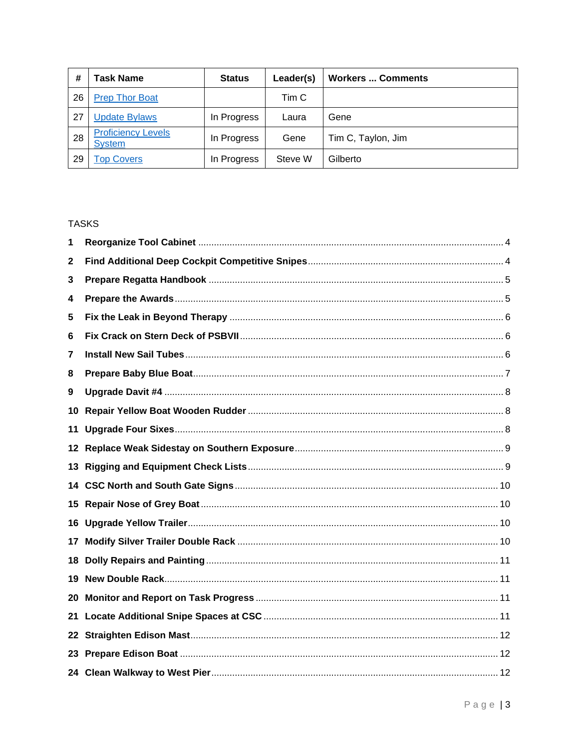| #  | <b>Task Name</b>                           | <b>Status</b> | Leader(s) | <b>Workers  Comments</b> |
|----|--------------------------------------------|---------------|-----------|--------------------------|
| 26 | <b>Prep Thor Boat</b>                      |               | Tim C     |                          |
| 27 | <b>Update Bylaws</b>                       | In Progress   | Laura     | Gene                     |
| 28 | <b>Proficiency Levels</b><br><b>System</b> | In Progress   | Gene      | Tim C, Taylon, Jim       |
| 29 | <b>Top Covers</b>                          | In Progress   | Steve W   | Gilberto                 |

#### **TASKS**

| 1    |  |
|------|--|
| 2    |  |
| 3    |  |
| 4    |  |
| 5    |  |
| 6    |  |
| 7    |  |
| 8    |  |
| 9    |  |
| 10   |  |
| 11   |  |
| 12   |  |
| 13   |  |
| 14   |  |
| 15   |  |
| 16   |  |
| 17   |  |
| 18   |  |
| 19   |  |
| 20   |  |
| 21   |  |
| 22.  |  |
| 23   |  |
| 24 - |  |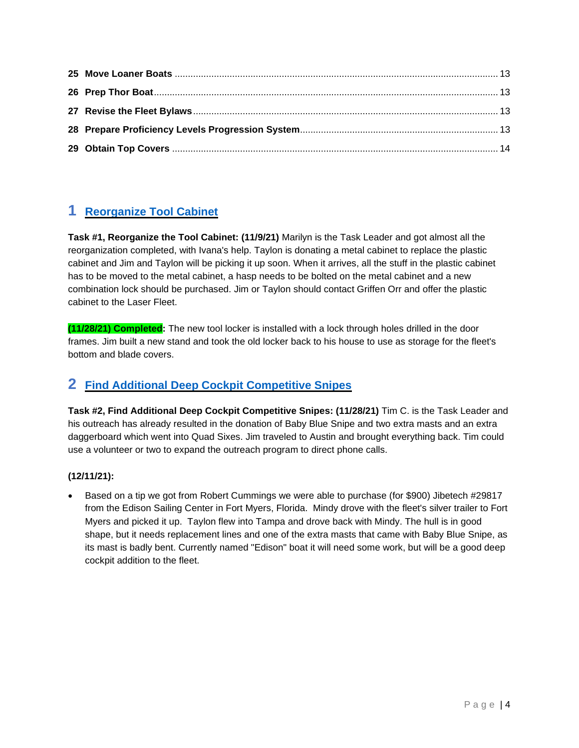# <span id="page-3-2"></span><span id="page-3-0"></span>**1 [Reorganize Tool Cabinet](#page-0-0)**

**Task #1, Reorganize the Tool Cabinet: (11/9/21)** Marilyn is the Task Leader and got almost all the reorganization completed, with Ivana's help. Taylon is donating a metal cabinet to replace the plastic cabinet and Jim and Taylon will be picking it up soon. When it arrives, all the stuff in the plastic cabinet has to be moved to the metal cabinet, a hasp needs to be bolted on the metal cabinet and a new combination lock should be purchased. Jim or Taylon should contact Griffen Orr and offer the plastic cabinet to the Laser Fleet.

**(11/28/21) Completed:** The new tool locker is installed with a lock through holes drilled in the door frames. Jim built a new stand and took the old locker back to his house to use as storage for the fleet's bottom and blade covers.

# <span id="page-3-3"></span><span id="page-3-1"></span>**2 [Find Additional Deep Cockpit Competitive Snipes](#page-0-0)**

**Task #2, Find Additional Deep Cockpit Competitive Snipes: (11/28/21)** Tim C. is the Task Leader and his outreach has already resulted in the donation of Baby Blue Snipe and two extra masts and an extra daggerboard which went into Quad Sixes. Jim traveled to Austin and brought everything back. Tim could use a volunteer or two to expand the outreach program to direct phone calls.

#### **(12/11/21):**

 Based on a tip we got from Robert Cummings we were able to purchase (for \$900) Jibetech #29817 from the Edison Sailing Center in Fort Myers, Florida. Mindy drove with the fleet's silver trailer to Fort Myers and picked it up. Taylon flew into Tampa and drove back with Mindy. The hull is in good shape, but it needs replacement lines and one of the extra masts that came with Baby Blue Snipe, as its mast is badly bent. Currently named "Edison" boat it will need some work, but will be a good deep cockpit addition to the fleet.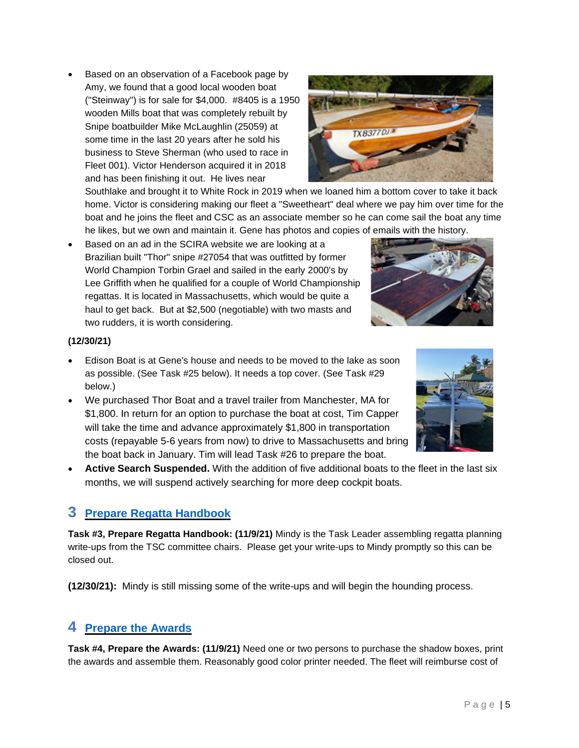Page | 5

 Based on an observation of a Facebook page by Amy, we found that a good local wooden boat ("Steinway") is for sale for \$4,000. #8405 is a 1950 wooden Mills boat that was completely rebuilt by Snipe boatbuilder Mike McLaughlin (25059) at some time in the last 20 years after he sold his business to Steve Sherman (who used to race in Fleet 001). Victor Henderson acquired it in 2018 and has been finishing it out. He lives near

Southlake and brought it to White Rock in 2019 when we loaned him a bottom cover to take it back home. Victor is considering making our fleet a "Sweetheart" deal where we pay him over time for the boat and he joins the fleet and CSC as an associate member so he can come sail the boat any time he likes, but we own and maintain it. Gene has photos and copies of emails with the history.

 Based on an ad in the SCIRA website we are looking at a Brazilian built "Thor" snipe #27054 that was outfitted by former World Champion Torbin Grael and sailed in the early 2000's by Lee Griffith when he qualified for a couple of World Championship regattas. It is located in Massachusetts, which would be quite a haul to get back. But at \$2,500 (negotiable) with two masts and two rudders, it is worth considering.

#### **(12/30/21)**

- Edison Boat is at Gene's house and needs to be moved to the lake as soon as possible. (See Task #25 below). It needs a top cover. (See Task #29 below.)
- We purchased Thor Boat and a travel trailer from Manchester, MA for \$1,800. In return for an option to purchase the boat at cost, Tim Capper will take the time and advance approximately \$1,800 in transportation costs (repayable 5-6 years from now) to drive to Massachusetts and bring the boat back in January. Tim will lead Task #26 to prepare the boat.
- **Active Search Suspended.** With the addition of five additional boats to the fleet in the last six months, we will suspend actively searching for more deep cockpit boats.

#### <span id="page-4-2"></span><span id="page-4-0"></span>**3 [Prepare Regatta Handbook](#page-0-0)**

**Task #3, Prepare Regatta Handbook: (11/9/21)** Mindy is the Task Leader assembling regatta planning write-ups from the TSC committee chairs. Please get your write-ups to Mindy promptly so this can be closed out.

**(12/30/21):** Mindy is still missing some of the write-ups and will begin the hounding process.

#### <span id="page-4-3"></span><span id="page-4-1"></span>**4 [Prepare the Awards](#page-0-0)**

**Task #4, Prepare the Awards: (11/9/21)** Need one or two persons to purchase the shadow boxes, print the awards and assemble them. Reasonably good color printer needed. The fleet will reimburse cost of





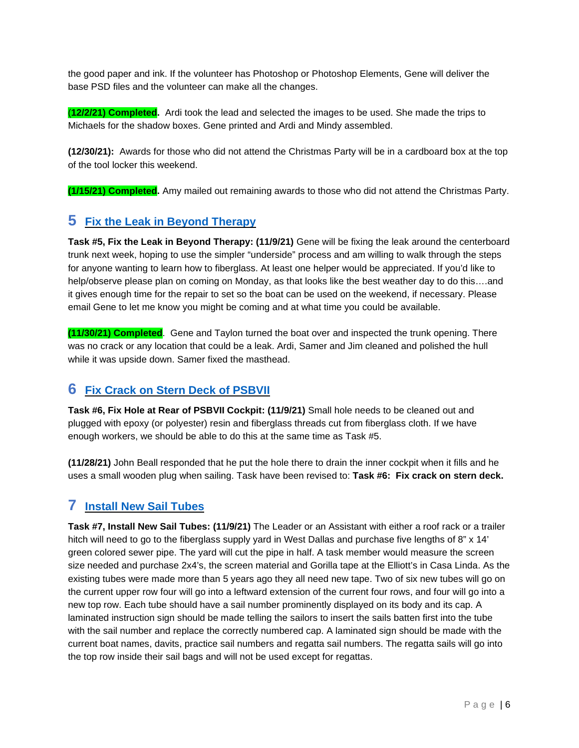the good paper and ink. If the volunteer has Photoshop or Photoshop Elements, Gene will deliver the base PSD files and the volunteer can make all the changes.

(**12/2/21) Completed.** Ardi took the lead and selected the images to be used. She made the trips to Michaels for the shadow boxes. Gene printed and Ardi and Mindy assembled.

**(12/30/21):** Awards for those who did not attend the Christmas Party will be in a cardboard box at the top of the tool locker this weekend.

<span id="page-5-3"></span><span id="page-5-0"></span>**(1/15/21) Completed.** Amy mailed out remaining awards to those who did not attend the Christmas Party.

## **5 [Fix the Leak in Beyond Therapy](#page-0-0)**

**Task #5, Fix the Leak in Beyond Therapy: (11/9/21)** Gene will be fixing the leak around the centerboard trunk next week, hoping to use the simpler "underside" process and am willing to walk through the steps for anyone wanting to learn how to fiberglass. At least one helper would be appreciated. If you'd like to help/observe please plan on coming on Monday, as that looks like the best weather day to do this….and it gives enough time for the repair to set so the boat can be used on the weekend, if necessary. Please email Gene to let me know you might be coming and at what time you could be available.

**(11/30/21) Completed**. Gene and Taylon turned the boat over and inspected the trunk opening. There was no crack or any location that could be a leak. Ardi, Samer and Jim cleaned and polished the hull while it was upside down. Samer fixed the masthead.

#### <span id="page-5-4"></span><span id="page-5-1"></span>**6 [Fix Crack on Stern Deck of PSBVII](#page-0-0)**

**Task #6, Fix Hole at Rear of PSBVII Cockpit: (11/9/21)** Small hole needs to be cleaned out and plugged with epoxy (or polyester) resin and fiberglass threads cut from fiberglass cloth. If we have enough workers, we should be able to do this at the same time as Task #5.

**(11/28/21)** John Beall responded that he put the hole there to drain the inner cockpit when it fills and he uses a small wooden plug when sailing. Task have been revised to: **Task #6: Fix crack on stern deck.** 

# <span id="page-5-5"></span><span id="page-5-2"></span>**7 [Install New Sail Tubes](#page-0-0)**

**Task #7, Install New Sail Tubes: (11/9/21)** The Leader or an Assistant with either a roof rack or a trailer hitch will need to go to the fiberglass supply yard in West Dallas and purchase five lengths of 8" x 14' green colored sewer pipe. The yard will cut the pipe in half. A task member would measure the screen size needed and purchase 2x4's, the screen material and Gorilla tape at the Elliott's in Casa Linda. As the existing tubes were made more than 5 years ago they all need new tape. Two of six new tubes will go on the current upper row four will go into a leftward extension of the current four rows, and four will go into a new top row. Each tube should have a sail number prominently displayed on its body and its cap. A laminated instruction sign should be made telling the sailors to insert the sails batten first into the tube with the sail number and replace the correctly numbered cap. A laminated sign should be made with the current boat names, davits, practice sail numbers and regatta sail numbers. The regatta sails will go into the top row inside their sail bags and will not be used except for regattas.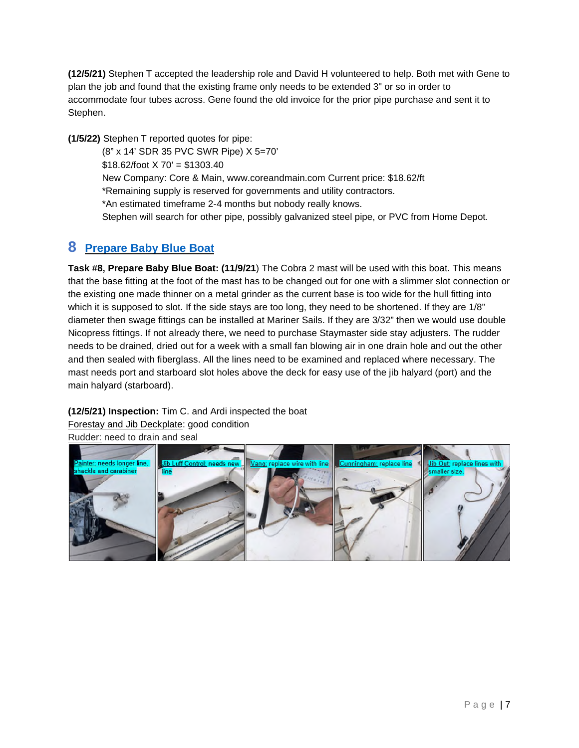**(12/5/21)** Stephen T accepted the leadership role and David H volunteered to help. Both met with Gene to plan the job and found that the existing frame only needs to be extended 3" or so in order to accommodate four tubes across. Gene found the old invoice for the prior pipe purchase and sent it to Stephen.

**(1/5/22)** Stephen T reported quotes for pipe:

(8" x 14' SDR 35 PVC SWR Pipe) X 5=70'  $$18.62$ /foot X 70' = \$1303.40 New Company: Core & Main, www.coreandmain.com Current price: \$18.62/ft \*Remaining supply is reserved for governments and utility contractors. \*An estimated timeframe 2-4 months but nobody really knows. Stephen will search for other pipe, possibly galvanized steel pipe, or PVC from Home Depot.

## <span id="page-6-1"></span><span id="page-6-0"></span>**8 [Prepare Baby Blue Boat](#page-0-0)**

**Task #8, Prepare Baby Blue Boat: (11/9/21**) The Cobra 2 mast will be used with this boat. This means that the base fitting at the foot of the mast has to be changed out for one with a slimmer slot connection or the existing one made thinner on a metal grinder as the current base is too wide for the hull fitting into which it is supposed to slot. If the side stays are too long, they need to be shortened. If they are 1/8" diameter then swage fittings can be installed at Mariner Sails. If they are 3/32" then we would use double Nicopress fittings. If not already there, we need to purchase Staymaster side stay adjusters. The rudder needs to be drained, dried out for a week with a small fan blowing air in one drain hole and out the other and then sealed with fiberglass. All the lines need to be examined and replaced where necessary. The mast needs port and starboard slot holes above the deck for easy use of the jib halyard (port) and the main halyard (starboard).

**(12/5/21) Inspection:** Tim C. and Ardi inspected the boat

Forestay and Jib Deckplate: good condition Rudder: need to drain and seal

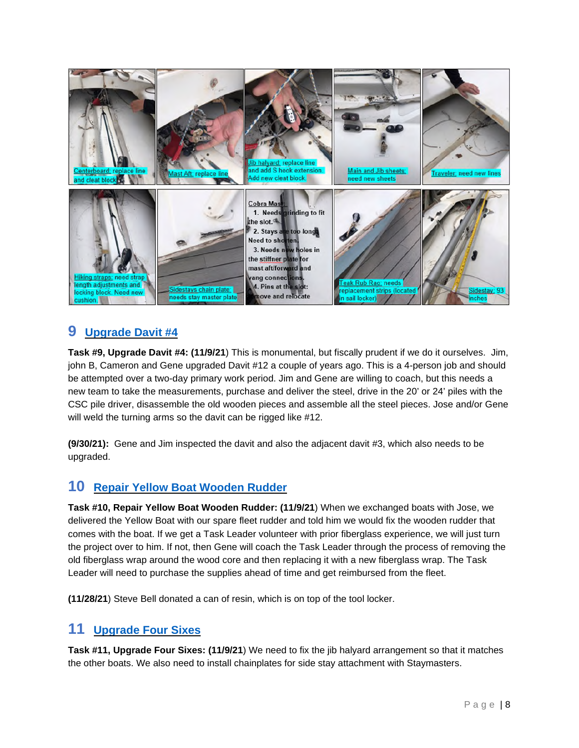

# <span id="page-7-3"></span><span id="page-7-0"></span>**9 [Upgrade Davit #4](#page-0-0)**

**Task #9, Upgrade Davit #4: (11/9/21**) This is monumental, but fiscally prudent if we do it ourselves. Jim, john B, Cameron and Gene upgraded Davit #12 a couple of years ago. This is a 4-person job and should be attempted over a two-day primary work period. Jim and Gene are willing to coach, but this needs a new team to take the measurements, purchase and deliver the steel, drive in the 20' or 24' piles with the CSC pile driver, disassemble the old wooden pieces and assemble all the steel pieces. Jose and/or Gene will weld the turning arms so the davit can be rigged like #12.

**(9/30/21):** Gene and Jim inspected the davit and also the adjacent davit #3, which also needs to be upgraded.

#### <span id="page-7-4"></span><span id="page-7-1"></span>**10 [Repair Yellow Boat Wooden Rudder](#page-0-0)**

**Task #10, Repair Yellow Boat Wooden Rudder: (11/9/21**) When we exchanged boats with Jose, we delivered the Yellow Boat with our spare fleet rudder and told him we would fix the wooden rudder that comes with the boat. If we get a Task Leader volunteer with prior fiberglass experience, we will just turn the project over to him. If not, then Gene will coach the Task Leader through the process of removing the old fiberglass wrap around the wood core and then replacing it with a new fiberglass wrap. The Task Leader will need to purchase the supplies ahead of time and get reimbursed from the fleet.

<span id="page-7-5"></span><span id="page-7-2"></span>**(11/28/21**) Steve Bell donated a can of resin, which is on top of the tool locker.

#### **11 [Upgrade Four Sixes](#page-0-0)**

**Task #11, Upgrade Four Sixes: (11/9/21**) We need to fix the jib halyard arrangement so that it matches the other boats. We also need to install chainplates for side stay attachment with Staymasters.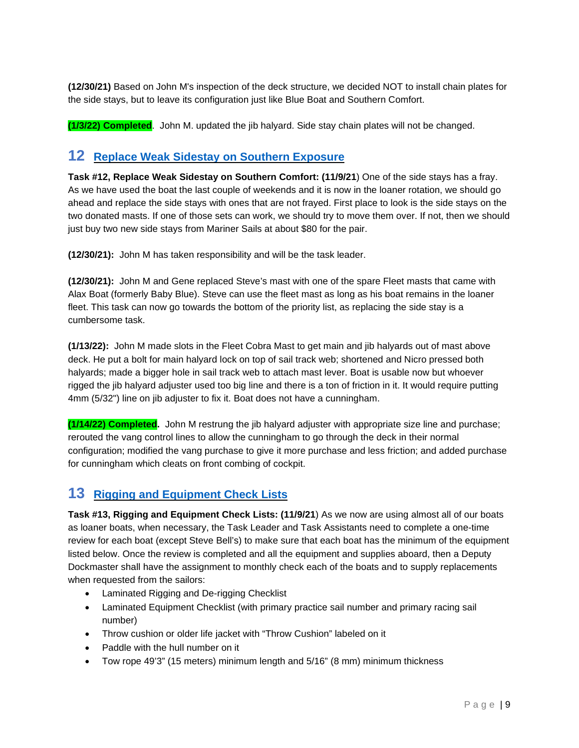**(12/30/21)** Based on John M's inspection of the deck structure, we decided NOT to install chain plates for the side stays, but to leave its configuration just like Blue Boat and Southern Comfort.

<span id="page-8-2"></span><span id="page-8-0"></span>**(1/3/22) Completed**. John M. updated the jib halyard. Side stay chain plates will not be changed.

#### **12 [Replace Weak Sidestay on Southern Exposure](#page-0-0)**

**Task #12, Replace Weak Sidestay on Southern Comfort: (11/9/21**) One of the side stays has a fray. As we have used the boat the last couple of weekends and it is now in the loaner rotation, we should go ahead and replace the side stays with ones that are not frayed. First place to look is the side stays on the two donated masts. If one of those sets can work, we should try to move them over. If not, then we should just buy two new side stays from Mariner Sails at about \$80 for the pair.

**(12/30/21):** John M has taken responsibility and will be the task leader.

**(12/30/21):** John M and Gene replaced Steve's mast with one of the spare Fleet masts that came with Alax Boat (formerly Baby Blue). Steve can use the fleet mast as long as his boat remains in the loaner fleet. This task can now go towards the bottom of the priority list, as replacing the side stay is a cumbersome task.

**(1/13/22):** John M made slots in the Fleet Cobra Mast to get main and jib halyards out of mast above deck. He put a bolt for main halyard lock on top of sail track web; shortened and Nicro pressed both halyards; made a bigger hole in sail track web to attach mast lever. Boat is usable now but whoever rigged the jib halyard adjuster used too big line and there is a ton of friction in it. It would require putting 4mm (5/32") line on jib adjuster to fix it. Boat does not have a cunningham.

**(1/14/22) Completed.** John M restrung the jib halyard adjuster with appropriate size line and purchase; rerouted the vang control lines to allow the cunningham to go through the deck in their normal configuration; modified the vang purchase to give it more purchase and less friction; and added purchase for cunningham which cleats on front combing of cockpit.

# <span id="page-8-3"></span><span id="page-8-1"></span>**13 [Rigging and Equipment Check Lists](#page-0-0)**

**Task #13, Rigging and Equipment Check Lists: (11/9/21**) As we now are using almost all of our boats as loaner boats, when necessary, the Task Leader and Task Assistants need to complete a one-time review for each boat (except Steve Bell's) to make sure that each boat has the minimum of the equipment listed below. Once the review is completed and all the equipment and supplies aboard, then a Deputy Dockmaster shall have the assignment to monthly check each of the boats and to supply replacements when requested from the sailors:

- Laminated Rigging and De-rigging Checklist
- Laminated Equipment Checklist (with primary practice sail number and primary racing sail number)
- Throw cushion or older life jacket with "Throw Cushion" labeled on it
- Paddle with the hull number on it
- Tow rope 49'3" (15 meters) minimum length and 5/16" (8 mm) minimum thickness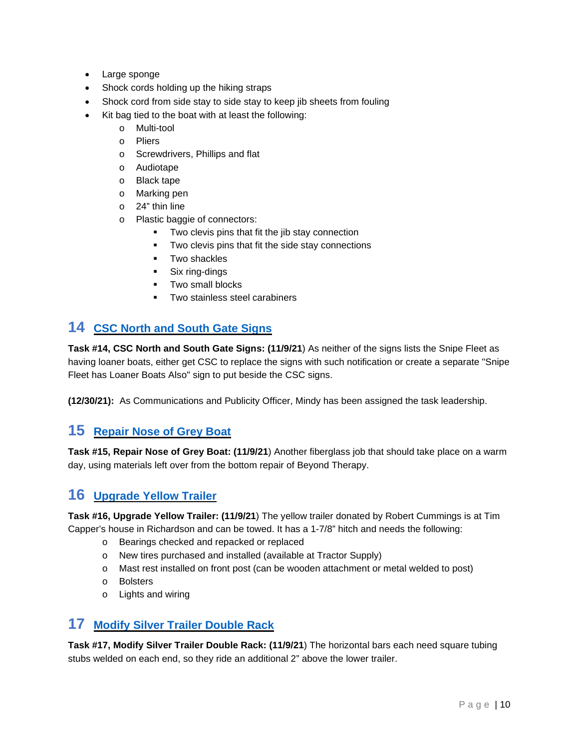- Large sponge
- Shock cords holding up the hiking straps
- Shock cord from side stay to side stay to keep jib sheets from fouling
- Kit bag tied to the boat with at least the following:
	- o Multi-tool
	- o Pliers
	- o Screwdrivers, Phillips and flat
	- o Audiotape
	- o Black tape
	- o Marking pen
	- o 24" thin line
	- o Plastic baggie of connectors:
		- Two clevis pins that fit the jib stay connection
		- **Two clevis pins that fit the side stay connections**
		- **Two shackles**
		- Six ring-dings
		- **Two small blocks**
		- **Two stainless steel carabiners**

# <span id="page-9-4"></span><span id="page-9-0"></span>**14 [CSC North and South Gate Signs](#page-0-0)**

**Task #14, CSC North and South Gate Signs: (11/9/21**) As neither of the signs lists the Snipe Fleet as having loaner boats, either get CSC to replace the signs with such notification or create a separate "Snipe Fleet has Loaner Boats Also" sign to put beside the CSC signs.

<span id="page-9-5"></span><span id="page-9-1"></span>**(12/30/21):** As Communications and Publicity Officer, Mindy has been assigned the task leadership.

# **15 [Repair Nose of Grey Boat](#page-0-0)**

**Task #15, Repair Nose of Grey Boat: (11/9/21**) Another fiberglass job that should take place on a warm day, using materials left over from the bottom repair of Beyond Therapy.

# <span id="page-9-6"></span><span id="page-9-2"></span>**16 [Upgrade Yellow Trailer](#page-0-0)**

**Task #16, Upgrade Yellow Trailer: (11/9/21**) The yellow trailer donated by Robert Cummings is at Tim Capper's house in Richardson and can be towed. It has a 1-7/8" hitch and needs the following:

- o Bearings checked and repacked or replaced
- o New tires purchased and installed (available at Tractor Supply)
- o Mast rest installed on front post (can be wooden attachment or metal welded to post)
- o Bolsters
- <span id="page-9-7"></span>o Lights and wiring

#### <span id="page-9-3"></span>**17 [Modify Silver Trailer Double Rack](#page-0-0)**

**Task #17, Modify Silver Trailer Double Rack: (11/9/21**) The horizontal bars each need square tubing stubs welded on each end, so they ride an additional 2" above the lower trailer.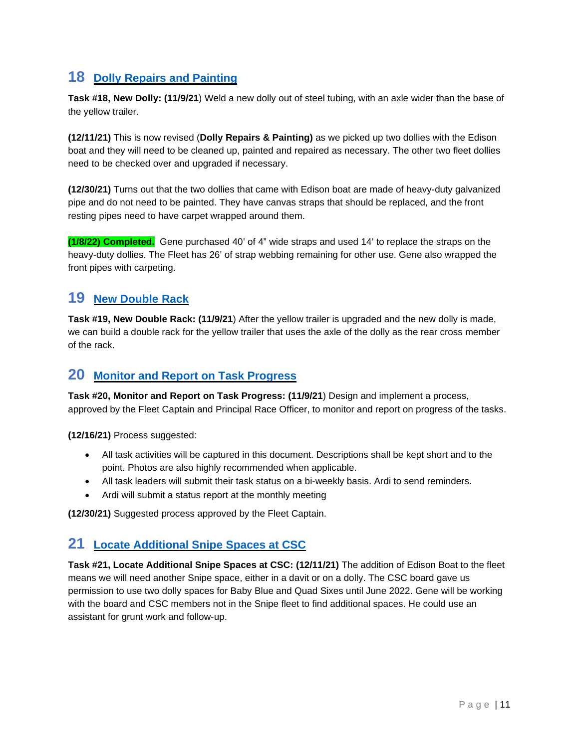# <span id="page-10-4"></span><span id="page-10-0"></span>**18 [Dolly Repairs and Painting](#page-0-0)**

**Task #18, New Dolly: (11/9/21**) Weld a new dolly out of steel tubing, with an axle wider than the base of the yellow trailer.

**(12/11/21)** This is now revised (**Dolly Repairs & Painting)** as we picked up two dollies with the Edison boat and they will need to be cleaned up, painted and repaired as necessary. The other two fleet dollies need to be checked over and upgraded if necessary.

**(12/30/21)** Turns out that the two dollies that came with Edison boat are made of heavy-duty galvanized pipe and do not need to be painted. They have canvas straps that should be replaced, and the front resting pipes need to have carpet wrapped around them.

**(1/8/22) Completed.** Gene purchased 40' of 4" wide straps and used 14' to replace the straps on the heavy-duty dollies. The Fleet has 26' of strap webbing remaining for other use. Gene also wrapped the front pipes with carpeting.

## <span id="page-10-5"></span><span id="page-10-1"></span>**19 [New Double Rack](#page-0-0)**

**Task #19, New Double Rack: (11/9/21**) After the yellow trailer is upgraded and the new dolly is made, we can build a double rack for the yellow trailer that uses the axle of the dolly as the rear cross member of the rack.

#### <span id="page-10-6"></span><span id="page-10-2"></span>**20 [Monitor and Report on Task Progress](#page-0-0)**

**Task #20, Monitor and Report on Task Progress: (11/9/21**) Design and implement a process, approved by the Fleet Captain and Principal Race Officer, to monitor and report on progress of the tasks.

**(12/16/21)** Process suggested:

- All task activities will be captured in this document. Descriptions shall be kept short and to the point. Photos are also highly recommended when applicable.
- All task leaders will submit their task status on a bi-weekly basis. Ardi to send reminders.
- Ardi will submit a status report at the monthly meeting

<span id="page-10-7"></span><span id="page-10-3"></span>**(12/30/21)** Suggested process approved by the Fleet Captain.

# **21 [Locate Additional Snipe Spaces at CSC](#page-0-0)**

**Task #21, Locate Additional Snipe Spaces at CSC: (12/11/21)** The addition of Edison Boat to the fleet means we will need another Snipe space, either in a davit or on a dolly. The CSC board gave us permission to use two dolly spaces for Baby Blue and Quad Sixes until June 2022. Gene will be working with the board and CSC members not in the Snipe fleet to find additional spaces. He could use an assistant for grunt work and follow-up.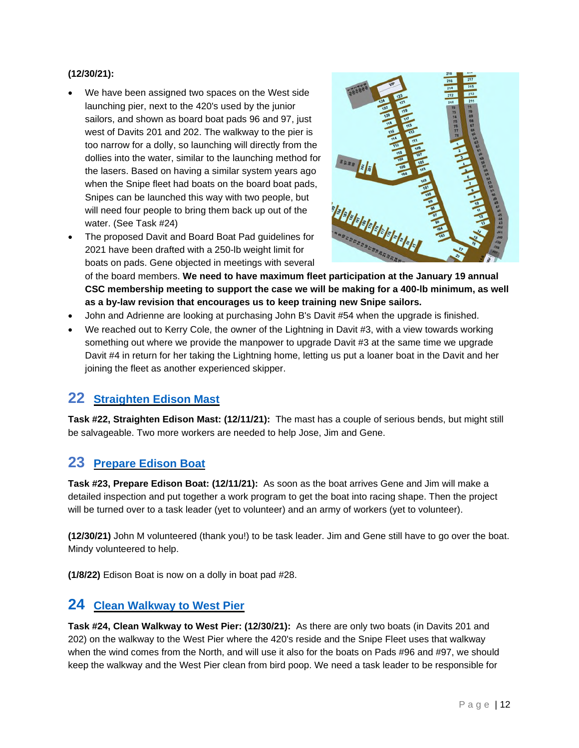#### **(12/30/21):**

- We have been assigned two spaces on the West side launching pier, next to the 420's used by the junior sailors, and shown as board boat pads 96 and 97, just west of Davits 201 and 202. The walkway to the pier is too narrow for a dolly, so launching will directly from the dollies into the water, similar to the launching method for the lasers. Based on having a similar system years ago when the Snipe fleet had boats on the board boat pads, Snipes can be launched this way with two people, but will need four people to bring them back up out of the water. (See Task #24)
- The proposed Davit and Board Boat Pad guidelines for 2021 have been drafted with a 250-lb weight limit for boats on pads. Gene objected in meetings with several



of the board members. **We need to have maximum fleet participation at the January 19 annual CSC membership meeting to support the case we will be making for a 400-lb minimum, as well as a by-law revision that encourages us to keep training new Snipe sailors.**

- John and Adrienne are looking at purchasing John B's Davit #54 when the upgrade is finished.
- We reached out to Kerry Cole, the owner of the Lightning in Davit #3, with a view towards working something out where we provide the manpower to upgrade Davit #3 at the same time we upgrade Davit #4 in return for her taking the Lightning home, letting us put a loaner boat in the Davit and her joining the fleet as another experienced skipper.

#### <span id="page-11-3"></span><span id="page-11-0"></span>**22 [Straighten Edison Mast](#page-0-0)**

**Task #22, Straighten Edison Mast: (12/11/21):** The mast has a couple of serious bends, but might still be salvageable. Two more workers are needed to help Jose, Jim and Gene.

# <span id="page-11-4"></span><span id="page-11-1"></span>**23 [Prepare Edison Boat](#page-0-0)**

**Task #23, Prepare Edison Boat: (12/11/21):** As soon as the boat arrives Gene and Jim will make a detailed inspection and put together a work program to get the boat into racing shape. Then the project will be turned over to a task leader (yet to volunteer) and an army of workers (yet to volunteer).

**(12/30/21)** John M volunteered (thank you!) to be task leader. Jim and Gene still have to go over the boat. Mindy volunteered to help.

<span id="page-11-5"></span><span id="page-11-2"></span>**(1/8/22)** Edison Boat is now on a dolly in boat pad #28.

#### **24 [Clean Walkway to West Pier](#page-0-0)**

**Task #24, Clean Walkway to West Pier: (12/30/21):** As there are only two boats (in Davits 201 and 202) on the walkway to the West Pier where the 420's reside and the Snipe Fleet uses that walkway when the wind comes from the North, and will use it also for the boats on Pads #96 and #97, we should keep the walkway and the West Pier clean from bird poop. We need a task leader to be responsible for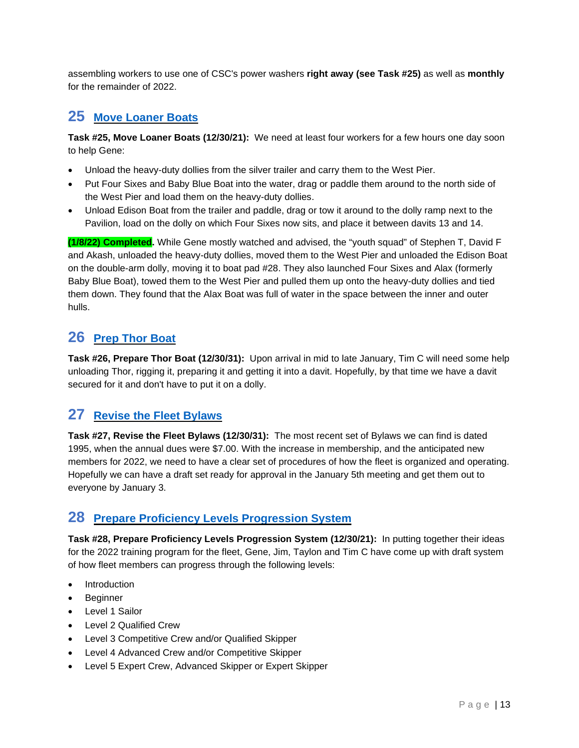assembling workers to use one of CSC's power washers **right away (see Task #25)** as well as **monthly**  for the remainder of 2022.

# <span id="page-12-4"></span><span id="page-12-0"></span>**25 [Move Loaner Boats](#page-0-0)**

**Task #25, Move Loaner Boats (12/30/21):** We need at least four workers for a few hours one day soon to help Gene:

- Unload the heavy-duty dollies from the silver trailer and carry them to the West Pier.
- Put Four Sixes and Baby Blue Boat into the water, drag or paddle them around to the north side of the West Pier and load them on the heavy-duty dollies.
- Unload Edison Boat from the trailer and paddle, drag or tow it around to the dolly ramp next to the Pavilion, load on the dolly on which Four Sixes now sits, and place it between davits 13 and 14.

**(1/8/22) Completed.** While Gene mostly watched and advised, the "youth squad" of Stephen T, David F and Akash, unloaded the heavy-duty dollies, moved them to the West Pier and unloaded the Edison Boat on the double-arm dolly, moving it to boat pad #28. They also launched Four Sixes and Alax (formerly Baby Blue Boat), towed them to the West Pier and pulled them up onto the heavy-duty dollies and tied them down. They found that the Alax Boat was full of water in the space between the inner and outer hulls.

# <span id="page-12-5"></span><span id="page-12-1"></span>**26 [Prep Thor Boat](#page-0-0)**

**Task #26, Prepare Thor Boat (12/30/31):** Upon arrival in mid to late January, Tim C will need some help unloading Thor, rigging it, preparing it and getting it into a davit. Hopefully, by that time we have a davit secured for it and don't have to put it on a dolly.

# <span id="page-12-6"></span><span id="page-12-2"></span>**27 [Revise the Fleet Bylaws](#page-0-0)**

**Task #27, Revise the Fleet Bylaws (12/30/31):** The most recent set of Bylaws we can find is dated 1995, when the annual dues were \$7.00. With the increase in membership, and the anticipated new members for 2022, we need to have a clear set of procedures of how the fleet is organized and operating. Hopefully we can have a draft set ready for approval in the January 5th meeting and get them out to everyone by January 3.

# <span id="page-12-7"></span><span id="page-12-3"></span>**28 [Prepare Proficiency Levels Progression System](#page-0-0)**

**Task #28, Prepare Proficiency Levels Progression System (12/30/21):** In putting together their ideas for the 2022 training program for the fleet, Gene, Jim, Taylon and Tim C have come up with draft system of how fleet members can progress through the following levels:

- Introduction
- Beginner
- Level 1 Sailor
- Level 2 Qualified Crew
- Level 3 Competitive Crew and/or Qualified Skipper
- Level 4 Advanced Crew and/or Competitive Skipper
- Level 5 Expert Crew, Advanced Skipper or Expert Skipper